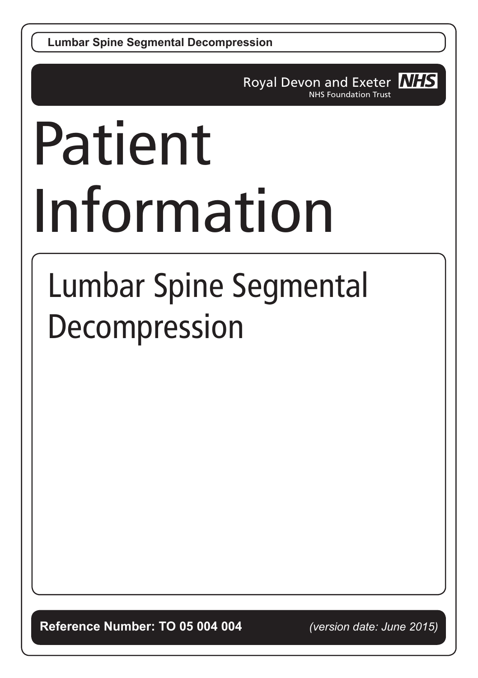**Lumbar Spine Segmental Decompression**

Royal Devon and Exeter NHS NHS Foundation Trust

# Patient Information

# Lumbar Spine Segmental Decompression

**Reference Number: TO 05 004 004** *(version date: June 2015)*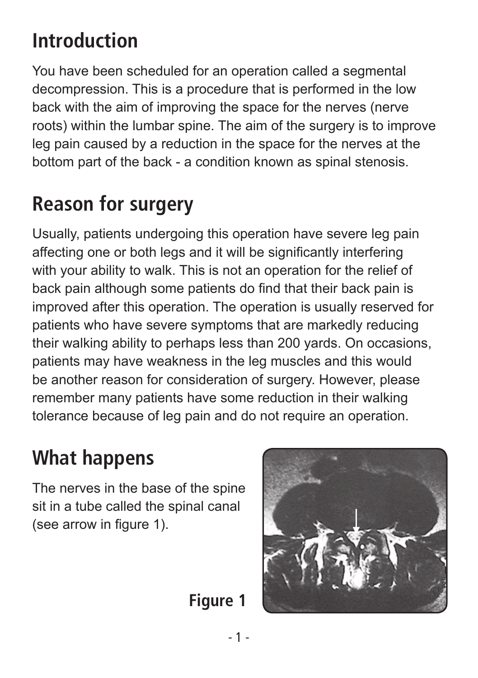# **Introduction**

You have been scheduled for an operation called a segmental decompression. This is a procedure that is performed in the low back with the aim of improving the space for the nerves (nerve roots) within the lumbar spine. The aim of the surgery is to improve leg pain caused by a reduction in the space for the nerves at the bottom part of the back - a condition known as spinal stenosis.

# **Reason for surgery**

Usually, patients undergoing this operation have severe leg pain affecting one or both legs and it will be significantly interfering with your ability to walk. This is not an operation for the relief of back pain although some patients do find that their back pain is improved after this operation. The operation is usually reserved for patients who have severe symptoms that are markedly reducing their walking ability to perhaps less than 200 yards. On occasions, patients may have weakness in the leg muscles and this would be another reason for consideration of surgery. However, please remember many patients have some reduction in their walking tolerance because of leg pain and do not require an operation.

### **What happens**

The nerves in the base of the spine sit in a tube called the spinal canal (see arrow in figure 1).



**Figure 1**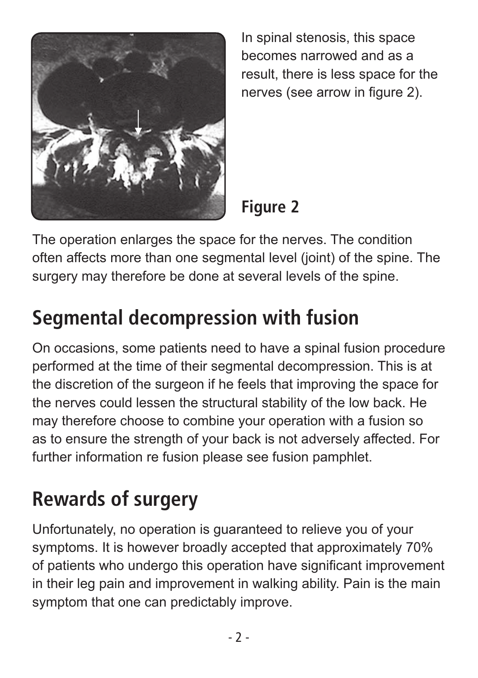

In spinal stenosis, this space becomes narrowed and as a result, there is less space for the nerves (see arrow in figure 2).

#### **Figure 2**

The operation enlarges the space for the nerves. The condition often affects more than one segmental level (joint) of the spine. The surgery may therefore be done at several levels of the spine.

# **Segmental decompression with fusion**

On occasions, some patients need to have a spinal fusion procedure performed at the time of their segmental decompression. This is at the discretion of the surgeon if he feels that improving the space for the nerves could lessen the structural stability of the low back. He may therefore choose to combine your operation with a fusion so as to ensure the strength of your back is not adversely affected. For further information re fusion please see fusion pamphlet.

# **Rewards of surgery**

Unfortunately, no operation is guaranteed to relieve you of your symptoms. It is however broadly accepted that approximately 70% of patients who undergo this operation have significant improvement in their leg pain and improvement in walking ability. Pain is the main symptom that one can predictably improve.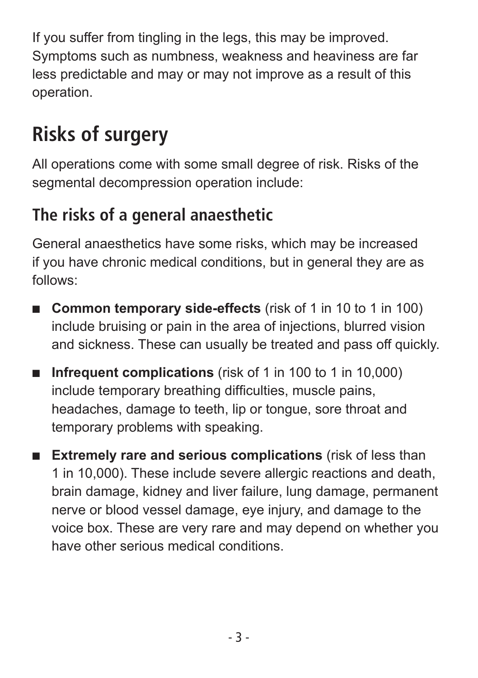If you suffer from tingling in the legs, this may be improved. Symptoms such as numbness, weakness and heaviness are far less predictable and may or may not improve as a result of this operation.

# **Risks of surgery**

All operations come with some small degree of risk. Risks of the segmental decompression operation include:

#### **The risks of a general anaesthetic**

General anaesthetics have some risks, which may be increased if you have chronic medical conditions, but in general they are as follows:

- **Common temporary side-effects** (risk of 1 in 10 to 1 in 100) include bruising or pain in the area of injections, blurred vision and sickness. These can usually be treated and pass off quickly.
- **Infrequent complications** (risk of 1 in 100 to 1 in 10,000) include temporary breathing difficulties, muscle pains, headaches, damage to teeth, lip or tongue, sore throat and temporary problems with speaking.
- **Extremely rare and serious complications** (risk of less than 1 in 10,000). These include severe allergic reactions and death, brain damage, kidney and liver failure, lung damage, permanent nerve or blood vessel damage, eye injury, and damage to the voice box. These are very rare and may depend on whether you have other serious medical conditions.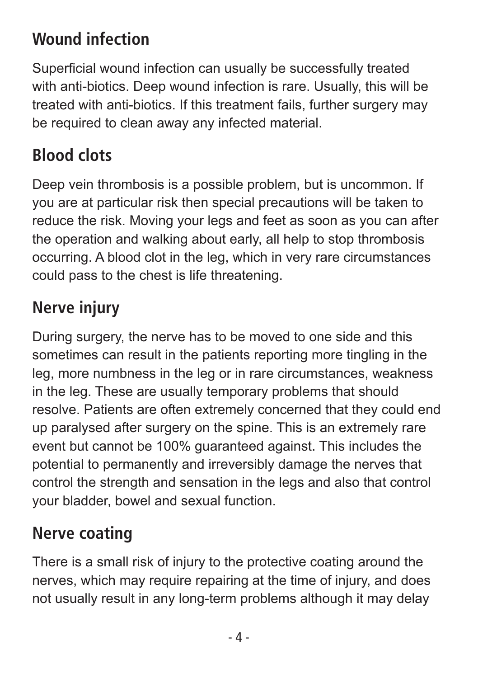#### **Wound infection**

Superficial wound infection can usually be successfully treated with anti-biotics. Deep wound infection is rare. Usually, this will be treated with anti-biotics. If this treatment fails, further surgery may be required to clean away any infected material.

#### **Blood clots**

Deep vein thrombosis is a possible problem, but is uncommon. If you are at particular risk then special precautions will be taken to reduce the risk. Moving your legs and feet as soon as you can after the operation and walking about early, all help to stop thrombosis occurring. A blood clot in the leg, which in very rare circumstances could pass to the chest is life threatening.

#### **Nerve injury**

During surgery, the nerve has to be moved to one side and this sometimes can result in the patients reporting more tingling in the leg, more numbness in the leg or in rare circumstances, weakness in the leg. These are usually temporary problems that should resolve. Patients are often extremely concerned that they could end up paralysed after surgery on the spine. This is an extremely rare event but cannot be 100% guaranteed against. This includes the potential to permanently and irreversibly damage the nerves that control the strength and sensation in the legs and also that control your bladder, bowel and sexual function.

#### **Nerve coating**

There is a small risk of injury to the protective coating around the nerves, which may require repairing at the time of injury, and does not usually result in any long-term problems although it may delay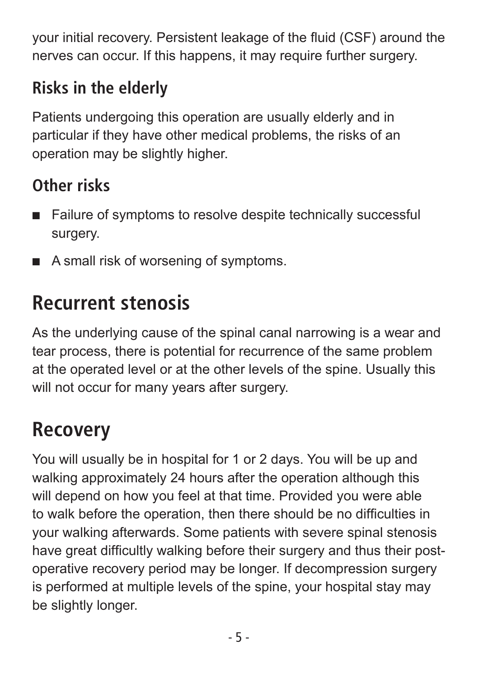your initial recovery. Persistent leakage of the fluid (CSF) around the nerves can occur. If this happens, it may require further surgery.

#### **Risks in the elderly**

Patients undergoing this operation are usually elderly and in particular if they have other medical problems, the risks of an operation may be slightly higher.

#### **Other risks**

- Failure of symptoms to resolve despite technically successful surgery.
- A small risk of worsening of symptoms.

# **Recurrent stenosis**

As the underlying cause of the spinal canal narrowing is a wear and tear process, there is potential for recurrence of the same problem at the operated level or at the other levels of the spine. Usually this will not occur for many years after surgery.

# **Recovery**

You will usually be in hospital for 1 or 2 days. You will be up and walking approximately 24 hours after the operation although this will depend on how you feel at that time. Provided you were able to walk before the operation, then there should be no difficulties in your walking afterwards. Some patients with severe spinal stenosis have great difficultly walking before their surgery and thus their postoperative recovery period may be longer. If decompression surgery is performed at multiple levels of the spine, your hospital stay may be slightly longer.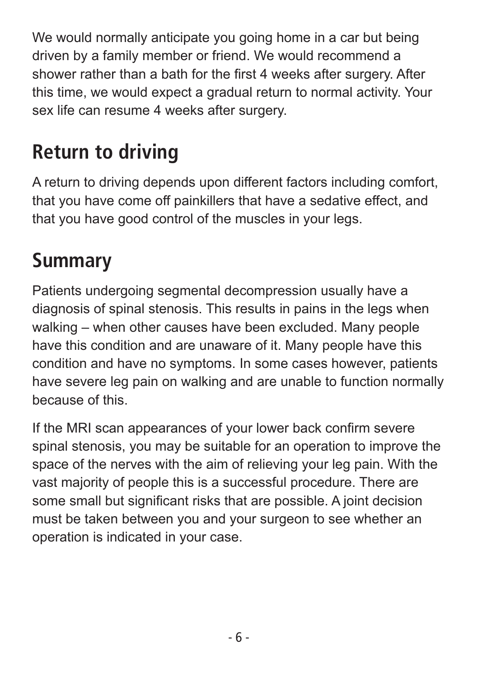We would normally anticipate you going home in a car but being driven by a family member or friend. We would recommend a shower rather than a bath for the first 4 weeks after surgery. After this time, we would expect a gradual return to normal activity. Your sex life can resume 4 weeks after surgery.

# **Return to driving**

A return to driving depends upon different factors including comfort, that you have come off painkillers that have a sedative effect, and that you have good control of the muscles in your legs.

## **Summary**

Patients undergoing segmental decompression usually have a diagnosis of spinal stenosis. This results in pains in the legs when walking – when other causes have been excluded. Many people have this condition and are unaware of it. Many people have this condition and have no symptoms. In some cases however, patients have severe leg pain on walking and are unable to function normally because of this.

If the MRI scan appearances of your lower back confirm severe spinal stenosis, you may be suitable for an operation to improve the space of the nerves with the aim of relieving your leg pain. With the vast majority of people this is a successful procedure. There are some small but significant risks that are possible. A joint decision must be taken between you and your surgeon to see whether an operation is indicated in your case.